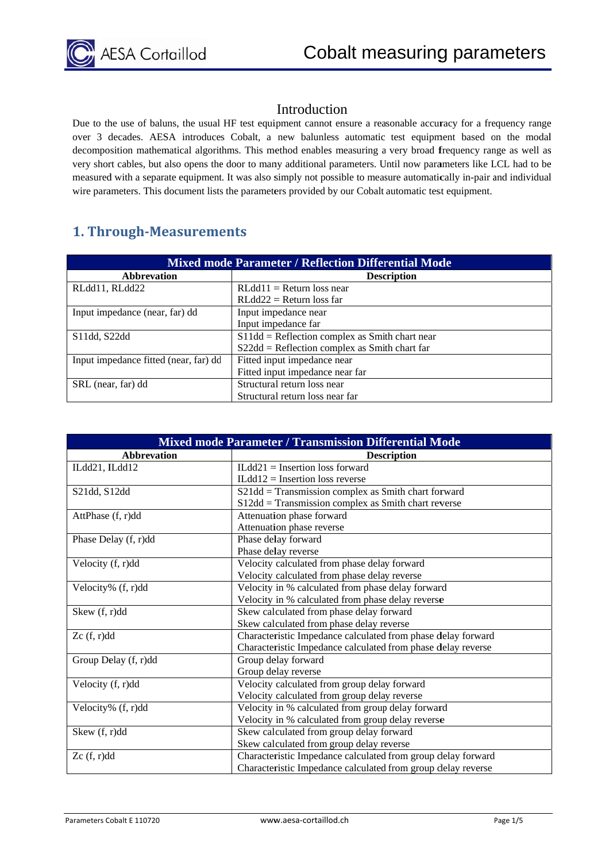#### Introduction

Due to the use of baluns, the usual HF test equipment cannot ensure a reasonable accuracy for a frequency range over 3 decades. AESA introduces Cobalt, a new balunless automatic test equipment based on the modal decomposition mathematical algorithms. This method enables measuring a very broad frequency range as well as very short cables, but also opens the door to many additional parameters. Until now parameters like LCL had to be measured with a separate equipment. It was also simply not possible to measure automatically in-pair and individual wire parameters. This document lists the parameters provided by our Cobalt automatic test equipment. el<br>else<br>el

## **1. Thr rough‐Me easureme ents**

| <b>Mixed mode Parameter / Reflection Differential Mode</b> |                                                   |  |  |
|------------------------------------------------------------|---------------------------------------------------|--|--|
| <b>Abbrevation</b>                                         | <b>Description</b>                                |  |  |
| RLdd11, RLdd22                                             | $RLdd11 = Return loss near$                       |  |  |
|                                                            | $RLdd22 = Return loss$ far                        |  |  |
| Input impedance (near, far) dd                             | Input impedance near                              |  |  |
|                                                            | Input impedance far                               |  |  |
| S11dd, S22dd                                               | $S11d/d =$ Reflection complex as Smith chart near |  |  |
|                                                            | $S22dd =$ Reflection complex as Smith chart far   |  |  |
| Input impedance fitted (near, far) dd                      | Fitted input impedance near                       |  |  |
|                                                            | Fitted input impedance near far                   |  |  |
| SRL (near, far) dd                                         | Structural return loss near                       |  |  |
|                                                            | Structural return loss near far                   |  |  |

| <b>Mixed mode Parameter / Transmission Differential Mode</b> |                                                              |  |  |
|--------------------------------------------------------------|--------------------------------------------------------------|--|--|
| <b>Abbrevation</b>                                           | <b>Description</b>                                           |  |  |
| ILdd21, ILdd12                                               | $ILdd21 = Insertion loss forward$                            |  |  |
|                                                              | $ILdd12 = Insertion loss reverse$                            |  |  |
| S21dd, S12dd                                                 | S21dd = Transmission complex as Smith chart forward          |  |  |
|                                                              | S12dd = Transmission complex as Smith chart reverse          |  |  |
| AttPhase (f, r)dd                                            | Attenuation phase forward                                    |  |  |
|                                                              | Attenuation phase reverse                                    |  |  |
| Phase Delay (f, r)dd                                         | Phase delay forward                                          |  |  |
|                                                              | Phase delay reverse                                          |  |  |
| Velocity (f, r)dd                                            | Velocity calculated from phase delay forward                 |  |  |
|                                                              | Velocity calculated from phase delay reverse                 |  |  |
| Velocity% (f, r)dd                                           | Velocity in % calculated from phase delay forward            |  |  |
|                                                              | Velocity in % calculated from phase delay reverse            |  |  |
| Skew (f, r)dd                                                | Skew calculated from phase delay forward                     |  |  |
|                                                              | Skew calculated from phase delay reverse                     |  |  |
| Zc(f, r)dd                                                   | Characteristic Impedance calculated from phase delay forward |  |  |
|                                                              | Characteristic Impedance calculated from phase delay reverse |  |  |
| Group Delay (f, r)dd                                         | Group delay forward                                          |  |  |
|                                                              | Group delay reverse                                          |  |  |
| Velocity (f, r)dd                                            | Velocity calculated from group delay forward                 |  |  |
|                                                              | Velocity calculated from group delay reverse                 |  |  |
| Velocity% (f, r)dd                                           | Velocity in % calculated from group delay forward            |  |  |
|                                                              | Velocity in % calculated from group delay reverse            |  |  |
| Skew (f, r)dd                                                | Skew calculated from group delay forward                     |  |  |
|                                                              | Skew calculated from group delay reverse                     |  |  |
| Zc(f, r)dd                                                   | Characteristic Impedance calculated from group delay forward |  |  |
|                                                              | Characteristic Impedance calculated from group delay reverse |  |  |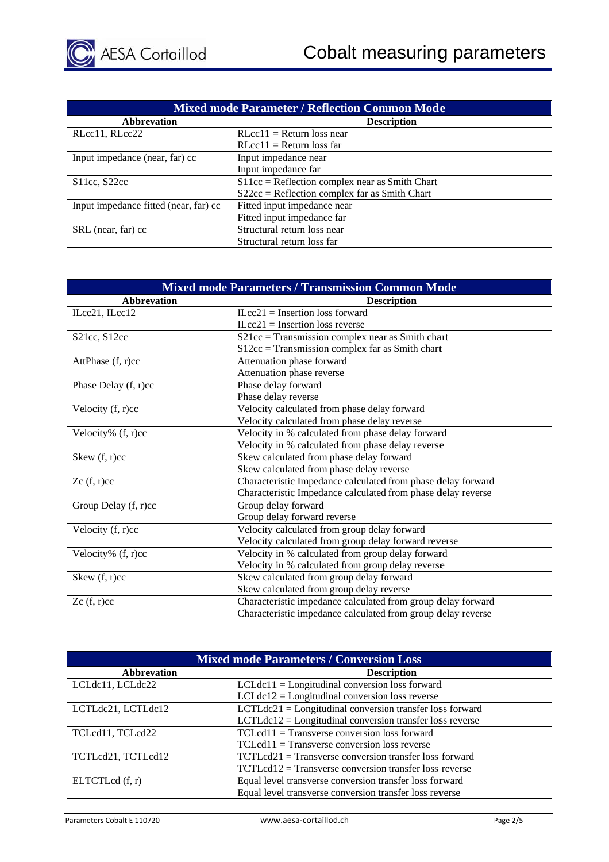| <b>Mixed mode Parameter / Reflection Common Mode</b> |                                                  |  |  |
|------------------------------------------------------|--------------------------------------------------|--|--|
| <b>Abbrevation</b>                                   | <b>Description</b>                               |  |  |
| RLcc11, RLcc22                                       | $RLcc11 = Return loss near$                      |  |  |
|                                                      | $RLcc11 = Return loss far$                       |  |  |
| Input impedance (near, far) cc                       | Input impedance near                             |  |  |
|                                                      | Input impedance far                              |  |  |
| \$11cc, \$22cc\$                                     | $S11cc =$ Reflection complex near as Smith Chart |  |  |
|                                                      | $S22cc =$ Reflection complex far as Smith Chart  |  |  |
| Input impedance fitted (near, far) cc                | Fitted input impedance near                      |  |  |
|                                                      | Fitted input impedance far                       |  |  |
| SRL (near, far) cc                                   | Structural return loss near                      |  |  |
|                                                      | Structural return loss far                       |  |  |

| <b>Mixed mode Parameters / Transmission Common Mode</b> |                                                              |  |  |
|---------------------------------------------------------|--------------------------------------------------------------|--|--|
| <b>Abbrevation</b>                                      | <b>Description</b>                                           |  |  |
| ILcc21, ILcc12                                          | $ILcc21 = Insertion loss forward$                            |  |  |
|                                                         | $ILcc21$ = Insertion loss reverse                            |  |  |
| S <sub>21</sub> cc, S <sub>12cc</sub>                   | $S21cc = Transmission complex near as Smith chart$           |  |  |
|                                                         | $S12cc =$ Transmission complex far as Smith chart            |  |  |
| AttPhase (f, r)cc                                       | Attenuation phase forward                                    |  |  |
|                                                         | Attenuation phase reverse                                    |  |  |
| Phase Delay (f, r)cc                                    | Phase delay forward                                          |  |  |
|                                                         | Phase delay reverse                                          |  |  |
| Velocity $(f, r)$ cc                                    | Velocity calculated from phase delay forward                 |  |  |
|                                                         | Velocity calculated from phase delay reverse                 |  |  |
| Velocity% (f, r)cc                                      | Velocity in % calculated from phase delay forward            |  |  |
|                                                         | Velocity in % calculated from phase delay reverse            |  |  |
| Skew (f, r)cc                                           | Skew calculated from phase delay forward                     |  |  |
|                                                         | Skew calculated from phase delay reverse                     |  |  |
| Zc(f, r)cc                                              | Characteristic Impedance calculated from phase delay forward |  |  |
|                                                         | Characteristic Impedance calculated from phase delay reverse |  |  |
| Group Delay $(f, r)$ cc                                 | Group delay forward                                          |  |  |
|                                                         | Group delay forward reverse                                  |  |  |
| Velocity $(f, r)$ cc                                    | Velocity calculated from group delay forward                 |  |  |
|                                                         | Velocity calculated from group delay forward reverse         |  |  |
| Velocity% (f, r)cc                                      | Velocity in % calculated from group delay forward            |  |  |
|                                                         | Velocity in % calculated from group delay reverse            |  |  |
| Skew (f, r)cc                                           | Skew calculated from group delay forward                     |  |  |
|                                                         | Skew calculated from group delay reverse                     |  |  |
| Zc(f, r)cc                                              | Characteristic impedance calculated from group delay forward |  |  |
|                                                         | Characteristic impedance calculated from group delay reverse |  |  |

| <b>Mixed mode Parameters / Conversion Loss</b> |                                                            |  |  |
|------------------------------------------------|------------------------------------------------------------|--|--|
| <b>Abbrevation</b>                             | <b>Description</b>                                         |  |  |
| LCLdc11, LCLdc22                               | $LCLdc11 = Longitudinal conversion loss forward$           |  |  |
|                                                | $LCLdc12 = Longitudinal conversion loss reverse$           |  |  |
| LCTLdc21, LCTLdc12                             | $LCTLdc21 = Longitudinal conversion transfer loss forward$ |  |  |
|                                                | $LCTLdc12 =$ Longitudinal conversion transfer loss reverse |  |  |
| TCLcd11, TCLcd22                               | $TCLcd11 = Transverse conversion loss forward$             |  |  |
|                                                | $TCLcd11 = Transverse conversion loss reverse$             |  |  |
| TCTLcd21, TCTLcd12                             | $TCTLcd21 = Transverse conversion transfer loss forward$   |  |  |
|                                                | $TCTLcd12 = Transverse conversion transfer loss reverse$   |  |  |
| ELTCTLcd(f, r)                                 | Equal level transverse conversion transfer loss forward    |  |  |
|                                                | Equal level transverse conversion transfer loss reverse    |  |  |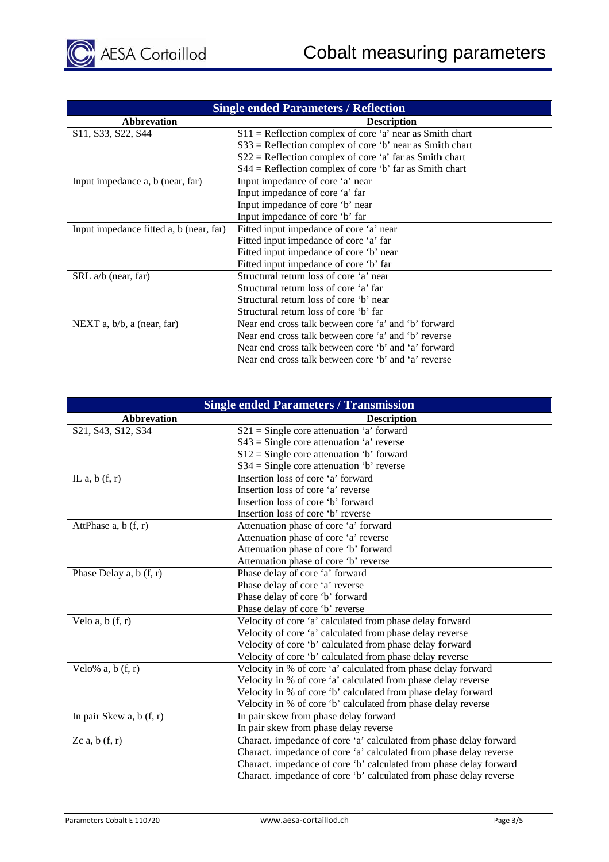| <b>Single ended Parameters / Reflection</b>                           |                                                            |  |  |  |
|-----------------------------------------------------------------------|------------------------------------------------------------|--|--|--|
| <b>Abbrevation</b>                                                    | <b>Description</b>                                         |  |  |  |
| S <sub>11</sub> , S <sub>33</sub> , S <sub>22</sub> , S <sub>44</sub> | $S11$ = Reflection complex of core 'a' near as Smith chart |  |  |  |
|                                                                       | $S33$ = Reflection complex of core 'b' near as Smith chart |  |  |  |
|                                                                       | $S22$ = Reflection complex of core 'a' far as Smith chart  |  |  |  |
|                                                                       | $S44$ = Reflection complex of core 'b' far as Smith chart  |  |  |  |
| Input impedance a, b (near, far)                                      | Input impedance of core 'a' near                           |  |  |  |
|                                                                       | Input impedance of core 'a' far                            |  |  |  |
|                                                                       | Input impedance of core 'b' near                           |  |  |  |
|                                                                       | Input impedance of core 'b' far                            |  |  |  |
| Input impedance fitted a, b (near, far)                               | Fitted input impedance of core 'a' near                    |  |  |  |
|                                                                       | Fitted input impedance of core 'a' far                     |  |  |  |
|                                                                       | Fitted input impedance of core 'b' near                    |  |  |  |
|                                                                       | Fitted input impedance of core 'b' far                     |  |  |  |
| SRL a/b (near, far)                                                   | Structural return loss of core 'a' near                    |  |  |  |
|                                                                       | Structural return loss of core 'a' far                     |  |  |  |
|                                                                       | Structural return loss of core 'b' near                    |  |  |  |
|                                                                       | Structural return loss of core 'b' far                     |  |  |  |
| NEXT a, $b/b$ , a (near, far)                                         | Near end cross talk between core 'a' and 'b' forward       |  |  |  |
|                                                                       | Near end cross talk between core 'a' and 'b' reverse       |  |  |  |
|                                                                       | Near end cross talk between core 'b' and 'a' forward       |  |  |  |
|                                                                       | Near end cross talk between core 'b' and 'a' reverse       |  |  |  |

| <b>Single ended Parameters / Transmission</b> |                                                                    |  |  |  |
|-----------------------------------------------|--------------------------------------------------------------------|--|--|--|
| <b>Abbrevation</b>                            | <b>Description</b>                                                 |  |  |  |
| S21, S43, S12, S34                            | $S21 =$ Single core attenuation 'a' forward                        |  |  |  |
|                                               | $S43$ = Single core attenuation 'a' reverse                        |  |  |  |
|                                               | $S12 =$ Single core attenuation 'b' forward                        |  |  |  |
|                                               | $S34 =$ Single core attenuation 'b' reverse                        |  |  |  |
| IL a, $b(f, r)$                               | Insertion loss of core 'a' forward                                 |  |  |  |
|                                               | Insertion loss of core 'a' reverse                                 |  |  |  |
|                                               | Insertion loss of core 'b' forward                                 |  |  |  |
|                                               | Insertion loss of core 'b' reverse                                 |  |  |  |
| AttPhase $a, b(f, r)$                         | Attenuation phase of core 'a' forward                              |  |  |  |
|                                               | Attenuation phase of core 'a' reverse                              |  |  |  |
|                                               | Attenuation phase of core 'b' forward                              |  |  |  |
|                                               | Attenuation phase of core 'b' reverse                              |  |  |  |
| Phase Delay a, $b(f, r)$                      | Phase delay of core 'a' forward                                    |  |  |  |
|                                               | Phase delay of core 'a' reverse                                    |  |  |  |
|                                               | Phase delay of core 'b' forward                                    |  |  |  |
|                                               | Phase delay of core 'b' reverse                                    |  |  |  |
| Velo a, $b(f, r)$                             | Velocity of core 'a' calculated from phase delay forward           |  |  |  |
|                                               | Velocity of core 'a' calculated from phase delay reverse           |  |  |  |
|                                               | Velocity of core 'b' calculated from phase delay forward           |  |  |  |
|                                               | Velocity of core 'b' calculated from phase delay reverse           |  |  |  |
| Velo% a, $b(f, r)$                            | Velocity in % of core 'a' calculated from phase delay forward      |  |  |  |
|                                               | Velocity in % of core 'a' calculated from phase delay reverse      |  |  |  |
|                                               | Velocity in % of core 'b' calculated from phase delay forward      |  |  |  |
|                                               | Velocity in % of core 'b' calculated from phase delay reverse      |  |  |  |
| In pair Skew a, $b(f, r)$                     | In pair skew from phase delay forward                              |  |  |  |
|                                               | In pair skew from phase delay reverse                              |  |  |  |
| Zc a, $b(f, r)$                               | Charact. impedance of core 'a' calculated from phase delay forward |  |  |  |
|                                               | Charact. impedance of core 'a' calculated from phase delay reverse |  |  |  |
|                                               | Charact. impedance of core 'b' calculated from phase delay forward |  |  |  |
|                                               | Charact. impedance of core 'b' calculated from phase delay reverse |  |  |  |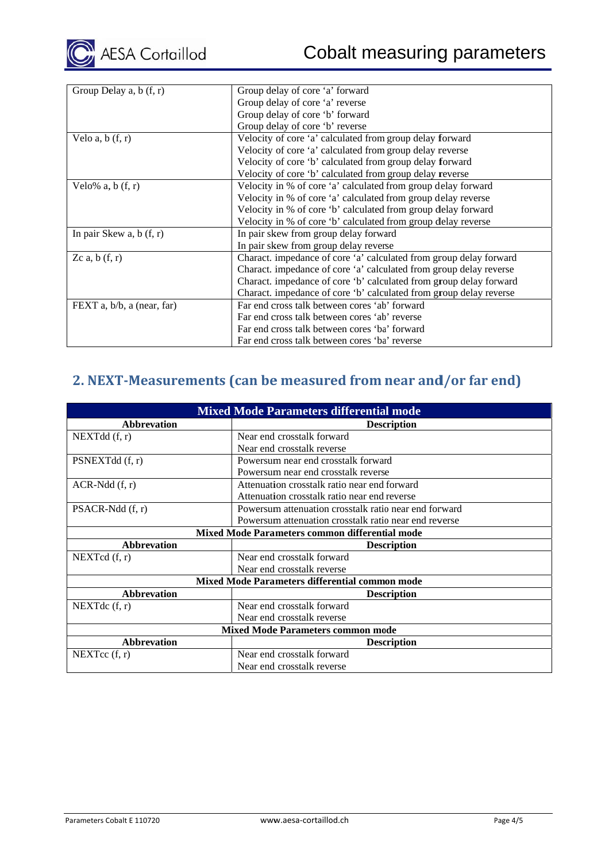| Group Delay a, b (f, r)    | Group delay of core 'a' forward                                    |  |  |  |
|----------------------------|--------------------------------------------------------------------|--|--|--|
|                            | Group delay of core 'a' reverse                                    |  |  |  |
|                            | Group delay of core 'b' forward                                    |  |  |  |
|                            | Group delay of core 'b' reverse                                    |  |  |  |
| Velo $a, b(f, r)$          | Velocity of core 'a' calculated from group delay forward           |  |  |  |
|                            | Velocity of core 'a' calculated from group delay reverse           |  |  |  |
|                            | Velocity of core 'b' calculated from group delay forward           |  |  |  |
|                            | Velocity of core 'b' calculated from group delay reverse           |  |  |  |
| Velo% $a, b(f, r)$         | Velocity in % of core 'a' calculated from group delay forward      |  |  |  |
|                            | Velocity in % of core 'a' calculated from group delay reverse      |  |  |  |
|                            | Velocity in % of core 'b' calculated from group delay forward      |  |  |  |
|                            | Velocity in % of core 'b' calculated from group delay reverse      |  |  |  |
| In pair Skew a, $b(f, r)$  | In pair skew from group delay forward                              |  |  |  |
|                            | In pair skew from group delay reverse                              |  |  |  |
| Zc a, $b(f, r)$            | Charact. impedance of core 'a' calculated from group delay forward |  |  |  |
|                            | Charact. impedance of core 'a' calculated from group delay reverse |  |  |  |
|                            | Charact. impedance of core 'b' calculated from group delay forward |  |  |  |
|                            | Charact. impedance of core 'b' calculated from group delay reverse |  |  |  |
| FEXT a, b/b, a (near, far) | Far end cross talk between cores 'ab' forward                      |  |  |  |
|                            | Far end cross talk between cores 'ab' reverse                      |  |  |  |
|                            | Far end cross talk between cores 'ba' forward                      |  |  |  |
|                            | Far end cross talk between cores 'ba' reverse                      |  |  |  |

# **2. NEXT-Measurements (can be measured from near and/or far end)**

| <b>Mixed Mode Parameters differential mode</b>        |                                                       |  |  |
|-------------------------------------------------------|-------------------------------------------------------|--|--|
| <b>Abbrevation</b>                                    | <b>Description</b>                                    |  |  |
| NEXTdd(f, r)                                          | Near end crosstalk forward                            |  |  |
|                                                       | Near end crosstalk reverse                            |  |  |
| PSNEXTdd (f, r)                                       | Powersum near end crosstalk forward                   |  |  |
|                                                       | Powersum near end crosstalk reverse                   |  |  |
| $ACR-Ndd$ $(f, r)$                                    | Attenuation crosstalk ratio near end forward          |  |  |
|                                                       | Attenuation crosstalk ratio near end reverse          |  |  |
| $PSACR-Ndd$ (f, r)                                    | Powersum attenuation crosstalk ratio near end forward |  |  |
|                                                       | Powersum attenuation crosstalk ratio near end reverse |  |  |
| <b>Mixed Mode Parameters common differential mode</b> |                                                       |  |  |
| <b>Abbrevation</b>                                    | <b>Description</b>                                    |  |  |
| NEXTcd(f, r)                                          | Near end crosstalk forward                            |  |  |
|                                                       | Near end crosstalk reverse                            |  |  |
| <b>Mixed Mode Parameters differential common mode</b> |                                                       |  |  |
| <b>Abbrevation</b>                                    | <b>Description</b>                                    |  |  |
| NEXT dc $(f, r)$                                      | Near end crosstalk forward                            |  |  |
|                                                       | Near end crosstalk reverse                            |  |  |
| <b>Mixed Mode Parameters common mode</b>              |                                                       |  |  |
| <b>Abbrevation</b>                                    | <b>Description</b>                                    |  |  |
| NEXT $cc(f, r)$                                       | Near end crosstalk forward                            |  |  |
|                                                       |                                                       |  |  |